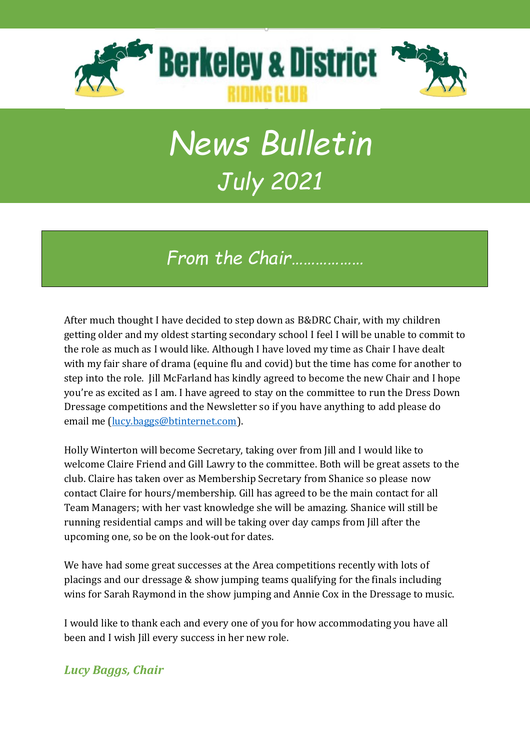

# *News Bulletin July 2021*

*From the Chair………………*

After much thought I have decided to step down as B&DRC Chair, with my children getting older and my oldest starting secondary school I feel I will be unable to commit to the role as much as I would like. Although I have loved my time as Chair I have dealt with my fair share of drama (equine flu and covid) but the time has come for another to step into the role. Jill McFarland has kindly agreed to become the new Chair and I hope you're as excited as I am. I have agreed to stay on the committee to run the Dress Down Dressage competitions and the Newsletter so if you have anything to add please do email me [\(lucy.baggs@btinternet.com\)](mailto:lucy.baggs@btinternet.com).

Holly Winterton will become Secretary, taking over from Jill and I would like to welcome Claire Friend and Gill Lawry to the committee. Both will be great assets to the club. Claire has taken over as Membership Secretary from Shanice so please now contact Claire for hours/membership. Gill has agreed to be the main contact for all Team Managers; with her vast knowledge she will be amazing. Shanice will still be running residential camps and will be taking over day camps from Jill after the upcoming one, so be on the look-out for dates.

We have had some great successes at the Area competitions recently with lots of placings and our dressage & show jumping teams qualifying for the finals including wins for Sarah Raymond in the show jumping and Annie Cox in the Dressage to music.

I would like to thank each and every one of you for how accommodating you have all been and I wish Jill every success in her new role.

#### *Lucy Baggs, Chair*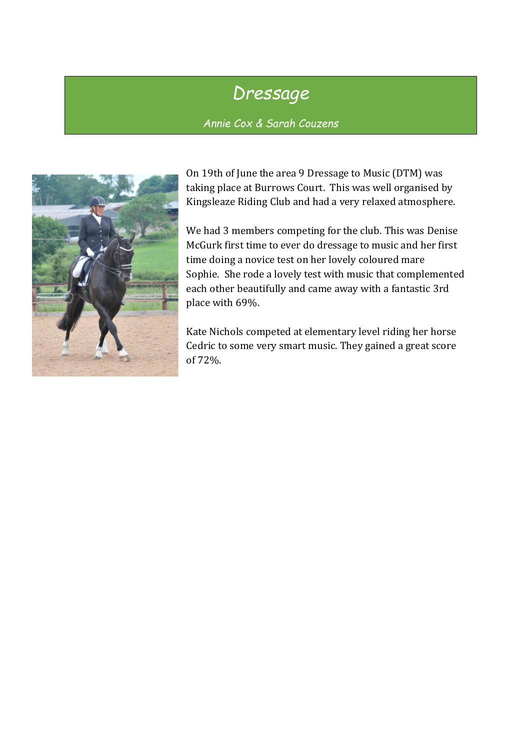## *Dressage*

*Annie Cox & Sarah Couzens*



On 19th of June the area 9 Dressage to Music (DTM) was taking place at Burrows Court. This was well organised by Kingsleaze Riding Club and had a very relaxed atmosphere.

We had 3 members competing for the club. This was Denise McGurk first time to ever do dressage to music and her first time doing a novice test on her lovely coloured mare Sophie. She rode a lovely test with music that complemented each other beautifully and came away with a fantastic 3rd place with 69%.

Kate Nichols competed at elementary level riding her horse Cedric to some very smart music. They gained a great score of 72%.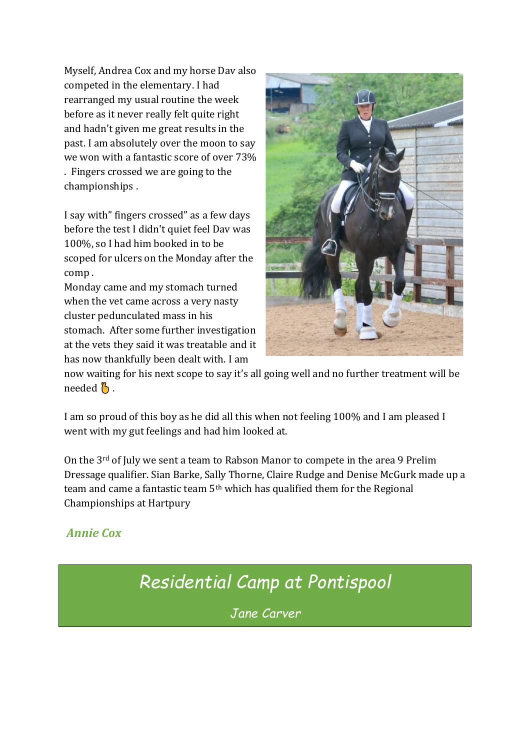Myself, Andrea Cox and my horse Dav also competed in the elementary. I had rearranged my usual routine the week before as it never really felt quite right and hadn't given me great results in the past. I am absolutely over the moon to say we won with a fantastic score of over 73% . Fingers crossed we are going to the championships .

I say with" fingers crossed" as a few days before the test I didn't quiet feel Dav was 100%, so I had him booked in to be scoped for ulcers on the Monday after the comp .

Monday came and my stomach turned when the vet came across a very nasty cluster pedunculated mass in his stomach. After some further investigation at the vets they said it was treatable and it has now thankfully been dealt with. I am



now waiting for his next scope to say it's all going well and no further treatment will be needed  $\beta$ .

I am so proud of this boy as he did all this when not feeling 100% and I am pleased I went with my gut feelings and had him looked at.

On the 3rd of July we sent a team to Rabson Manor to compete in the area 9 Prelim Dressage qualifier. Sian Barke, Sally Thorne, Claire Rudge and Denise McGurk made up a team and came a fantastic team 5th which has qualified them for the Regional Championships at Hartpury

#### *Annie Cox*

## *Residential Camp at Pontispool*

*Jane Carver*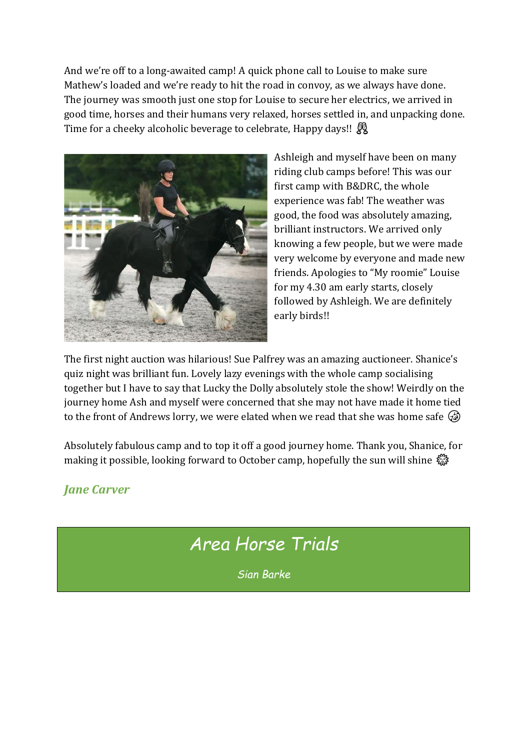And we're off to a long-awaited camp! A quick phone call to Louise to make sure Mathew's loaded and we're ready to hit the road in convoy, as we always have done. The journey was smooth just one stop for Louise to secure her electrics, we arrived in good time, horses and their humans very relaxed, horses settled in, and unpacking done. Time for a cheeky alcoholic beverage to celebrate, Happy days!!



Ashleigh and myself have been on many riding club camps before! This was our first camp with B&DRC, the whole experience was fab! The weather was good, the food was absolutely amazing, brilliant instructors. We arrived only knowing a few people, but we were made very welcome by everyone and made new friends. Apologies to "My roomie" Louise for my 4.30 am early starts, closely followed by Ashleigh. We are definitely early birds!!

The first night auction was hilarious! Sue Palfrey was an amazing auctioneer. Shanice's quiz night was brilliant fun. Lovely lazy evenings with the whole camp socialising together but I have to say that Lucky the Dolly absolutely stole the show! Weirdly on the journey home Ash and myself were concerned that she may not have made it home tied to the front of Andrews lorry, we were elated when we read that she was home safe  $\mathcal{G}$ 

Absolutely fabulous camp and to top it off a good journey home. Thank you, Shanice, for making it possible, looking forward to October camp, hopefully the sun will shine

#### *Jane Carver*

### *Area Horse Trials*

*Sian Barke*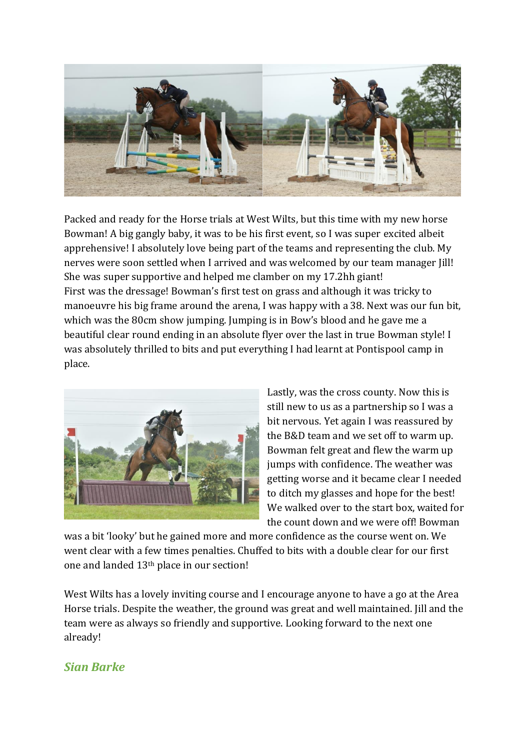

Packed and ready for the Horse trials at West Wilts, but this time with my new horse Bowman! A big gangly baby, it was to be his first event, so I was super excited albeit apprehensive! I absolutely love being part of the teams and representing the club. My nerves were soon settled when I arrived and was welcomed by our team manager Jill! She was super supportive and helped me clamber on my 17.2hh giant! First was the dressage! Bowman's first test on grass and although it was tricky to manoeuvre his big frame around the arena, I was happy with a 38. Next was our fun bit, which was the 80cm show jumping. Jumping is in Bow's blood and he gave me a beautiful clear round ending in an absolute flyer over the last in true Bowman style! I was absolutely thrilled to bits and put everything I had learnt at Pontispool camp in place.



Lastly, was the cross county. Now this is still new to us as a partnership so I was a bit nervous. Yet again I was reassured by the B&D team and we set off to warm up. Bowman felt great and flew the warm up jumps with confidence. The weather was getting worse and it became clear I needed to ditch my glasses and hope for the best! We walked over to the start box, waited for the count down and we were off! Bowman

was a bit 'looky' but he gained more and more confidence as the course went on. We went clear with a few times penalties. Chuffed to bits with a double clear for our first one and landed 13th place in our section!

West Wilts has a lovely inviting course and I encourage anyone to have a go at the Area Horse trials. Despite the weather, the ground was great and well maintained. Jill and the team were as always so friendly and supportive. Looking forward to the next one already!

#### *Sian Barke*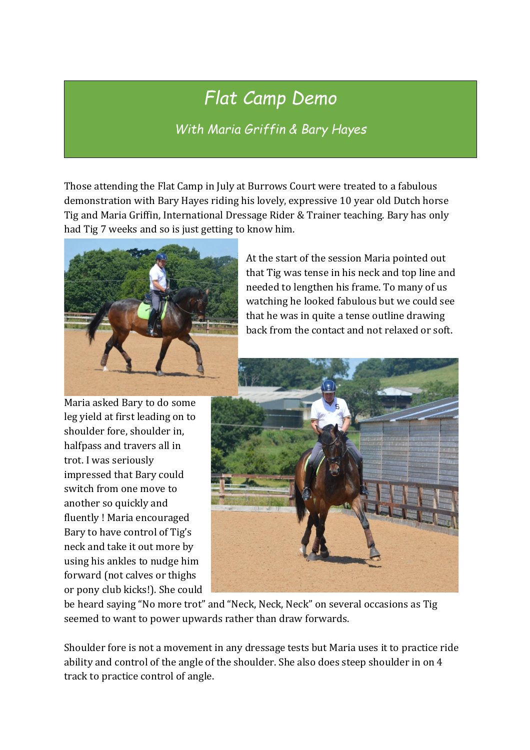## *Flat Camp Demo*

*With Maria Griffin & Bary Hayes*

Those attending the Flat Camp in July at Burrows Court were treated to a fabulous demonstration with Bary Hayes riding his lovely, expressive 10 year old Dutch horse Tig and Maria Griffin, International Dressage Rider & Trainer teaching. Bary has only had Tig 7 weeks and so is just getting to know him.



At the start of the session Maria pointed out that Tig was tense in his neck and top line and needed to lengthen his frame. To many of us watching he looked fabulous but we could see that he was in quite a tense outline drawing back from the contact and not relaxed or soft.

Maria asked Bary to do some leg yield at first leading on to shoulder fore, shoulder in, halfpass and travers all in trot. I was seriously impressed that Bary could switch from one move to another so quickly and fluently ! Maria encouraged Bary to have control of Tig's neck and take it out more by using his ankles to nudge him forward (not calves or thighs or pony club kicks!). She could



be heard saying "No more trot" and "Neck, Neck, Neck" on several occasions as Tig seemed to want to power upwards rather than draw forwards.

Shoulder fore is not a movement in any dressage tests but Maria uses it to practice ride ability and control of the angle of the shoulder. She also does steep shoulder in on 4 track to practice control of angle.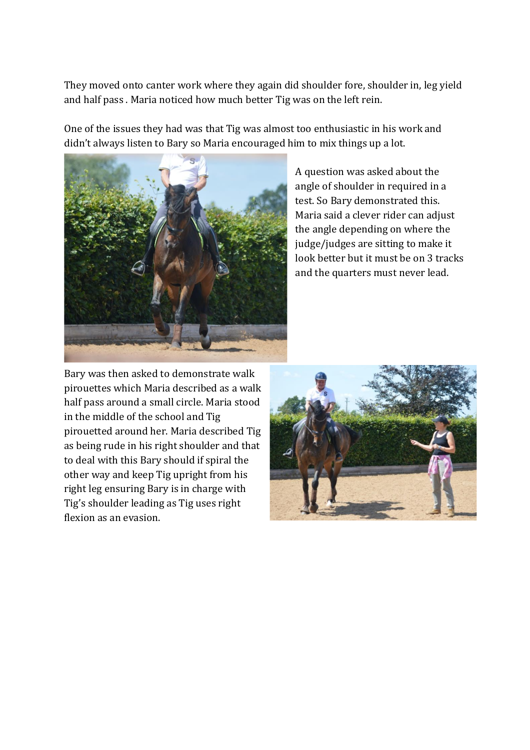They moved onto canter work where they again did shoulder fore, shoulder in, leg yield and half pass . Maria noticed how much better Tig was on the left rein.

One of the issues they had was that Tig was almost too enthusiastic in his work and didn't always listen to Bary so Maria encouraged him to mix things up a lot.



A question was asked about the angle of shoulder in required in a test. So Bary demonstrated this. Maria said a clever rider can adjust the angle depending on where the judge/judges are sitting to make it look better but it must be on 3 tracks and the quarters must never lead.

Bary was then asked to demonstrate walk pirouettes which Maria described as a walk half pass around a small circle. Maria stood in the middle of the school and Tig pirouetted around her. Maria described Tig as being rude in his right shoulder and that to deal with this Bary should if spiral the other way and keep Tig upright from his right leg ensuring Bary is in charge with Tig's shoulder leading as Tig uses right flexion as an evasion.

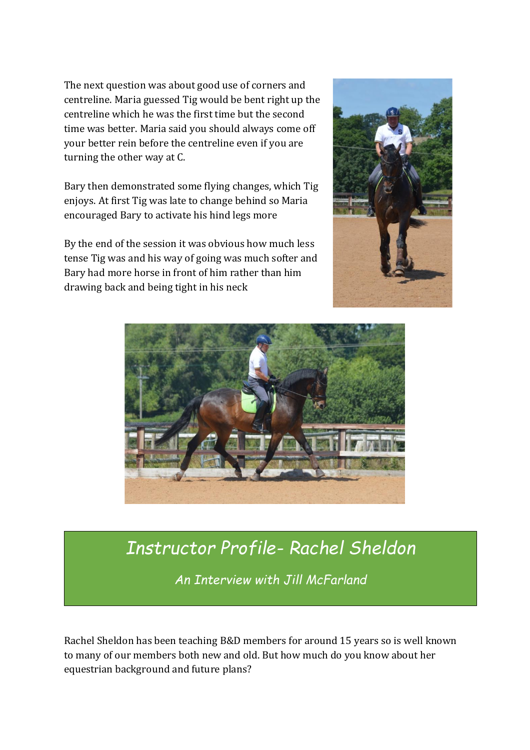The next question was about good use of corners and centreline. Maria guessed Tig would be bent right up the centreline which he was the first time but the second time was better. Maria said you should always come off your better rein before the centreline even if you are turning the other way at C.

Bary then demonstrated some flying changes, which Tig enjoys. At first Tig was late to change behind so Maria encouraged Bary to activate his hind legs more

By the end of the session it was obvious how much less tense Tig was and his way of going was much softer and Bary had more horse in front of him rather than him drawing back and being tight in his neck





### *Instructor Profile- Rachel Sheldon*

*An Interview with Jill McFarland*

Rachel Sheldon has been teaching B&D members for around 15 years so is well known to many of our members both new and old. But how much do you know about her equestrian background and future plans?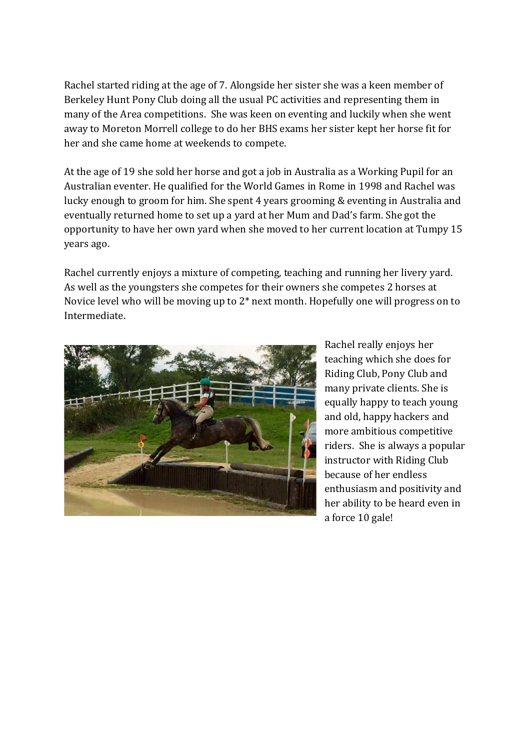Rachel started riding at the age of 7. Alongside her sister she was a keen member of Berkeley Hunt Pony Club doing all the usual PC activities and representing them in many of the Area competitions. She was keen on eventing and luckily when she went away to Moreton Morrell college to do her BHS exams her sister kept her horse fit for her and she came home at weekends to compete.

At the age of 19 she sold her horse and got a job in Australia as a Working Pupil for an Australian eventer. He qualified for the World Games in Rome in 1998 and Rachel was lucky enough to groom for him. She spent 4 years grooming & eventing in Australia and eventually returned home to set up a yard at her Mum and Dad's farm. She got the opportunity to have her own yard when she moved to her current location at Tumpy 15 years ago.

Rachel currently enjoys a mixture of competing, teaching and running her livery yard. As well as the youngsters she competes for their owners she competes 2 horses at Novice level who will be moving up to 2\* next month. Hopefully one will progress on to Intermediate.



Rachel really enjoys her teaching which she does for Riding Club, Pony Club and many private clients. She is equally happy to teach young and old, happy hackers and more ambitious competitive riders. She is always a popular instructor with Riding Club because of her endless enthusiasm and positivity and her ability to be heard even in a force 10 gale!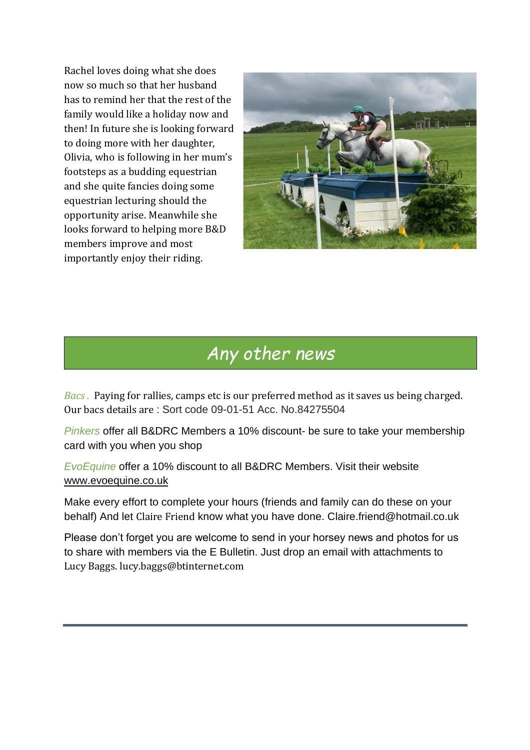Rachel loves doing what she does now so much so that her husband has to remind her that the rest of the family would like a holiday now and then! In future she is looking forward to doing more with her daughter, Olivia, who is following in her mum's footsteps as a budding equestrian and she quite fancies doing some equestrian lecturing should the opportunity arise. Meanwhile she looks forward to helping more B&D members improve and most importantly enjoy their riding.



#### *Any other news*

*Bacs .* Paying for rallies, camps etc is our preferred method as it saves us being charged. Our bacs details are : Sort code 09-01-51 Acc. No.84275504

*Pinkers* offer all B&DRC Members a 10% discount- be sure to take your membership card with you when you shop

*EvoEquine* offer a 10% discount to all B&DRC Members. Visit their website [www.evoequine.co.uk](http://www.evoequine.co.uk/)

Make every effort to complete your hours (friends and family can do these on your behalf) And let Claire Friend know what you have done. Claire.friend@hotmail.co.uk

Please don't forget you are welcome to send in your horsey news and photos for us to share with members via the E Bulletin. Just drop an email with attachments to Lucy Baggs. lucy.baggs@btinternet.com